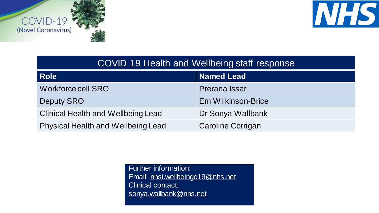





| COVID 19 Health and Wellbeing staff response |                           |  |  |
|----------------------------------------------|---------------------------|--|--|
| <b>Role</b>                                  | <b>Named Lead</b>         |  |  |
| Workforce cell SRO                           | <b>Prerana Issar</b>      |  |  |
| <b>Deputy SRO</b>                            | <b>Em Wilkinson-Brice</b> |  |  |
| <b>Clinical Health and Wellbeing Lead</b>    | Dr Sonya Wallbank         |  |  |
| <b>Physical Health and Wellbeing Lead</b>    | <b>Caroline Corrigan</b>  |  |  |

Further information: Email: [nhsi.wellbeingc19@nhs.net](mailto:nhsi.wellbeingc19@nhs.net) Clinical contact: [sonya.wallbank@nhs.net](mailto:sonya.wallbank@nhs.net)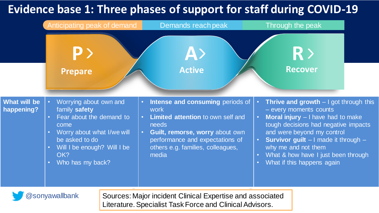# **Evidence base 1: Three phases of support for staff during COVID-19**

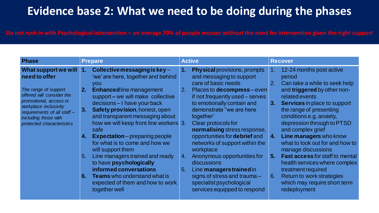## **Evidence base 2: What we need to be doing during the phases**

#### **Do not rush in with Psychological intervention – on average 70% of people recover without the need for intervention given the right support**

| 12-24 months post active<br>What support we will<br>Collective messaging is key $-$<br><b>Physical provisions, prompts</b><br>$\mathbf{1}$ .<br>1.<br>1.<br>need to offer<br>'we' are here, together and behind<br>and messaging to support<br>period<br>care of basic needs<br>Can take a while to seek help<br>2.<br>you<br>The range of support<br>and triggered by other non-<br><b>Enhanced</b> line management<br>2.<br>2.<br>Places to <b>decompress</b> – even<br>offered will consider the<br>support-we will make collective<br>if not frequently used – serves<br>related events<br>promotional, access or<br>decisions - I have your back<br>to emotionally contain and<br><b>Services</b> in place to support<br>3.<br>workplace inclusivity<br>Safety provision, honest, open<br>demonstrate "we are here<br>the range of presenting<br>3.<br>requirements of all staff -<br>and transparent messaging about<br>conditions e.g. anxiety,<br>together'<br>including those with<br>how we will keep front line workers 3.<br>depression through to PTSD<br>Clear protocols for<br>protected characteristics<br>and complex grief<br>normalising stress response,<br>safe<br>opportunities for debrief and<br><b>Line managers who know</b><br><b>Expectation</b> – preparing people<br>4.<br>4.<br>for what is to come and how we<br>networks of support within the<br>what to look out for and how to<br>workplace<br>will support them<br>manage discussions<br><b>Fast access for staff to mental</b><br>5.<br>Line managers trained and ready<br>Anonymous opportunities for<br>4.<br>5.<br>to have psychologically<br>discussions<br>health services where complex<br>informed conversations<br>treatment required<br>5.<br>Line managers trained in<br><b>Teams</b> who understand what is<br>Return to work strategies<br>signs of stress and trauma $-$<br>6.<br>6.<br>which may require short term<br>expected of them and how to work<br>specialist psychological<br>services equipped to respond<br>redeployment<br>together well | <b>Phase</b> | <b>Prepare</b> | <b>Active</b> | <b>Recover</b> |
|----------------------------------------------------------------------------------------------------------------------------------------------------------------------------------------------------------------------------------------------------------------------------------------------------------------------------------------------------------------------------------------------------------------------------------------------------------------------------------------------------------------------------------------------------------------------------------------------------------------------------------------------------------------------------------------------------------------------------------------------------------------------------------------------------------------------------------------------------------------------------------------------------------------------------------------------------------------------------------------------------------------------------------------------------------------------------------------------------------------------------------------------------------------------------------------------------------------------------------------------------------------------------------------------------------------------------------------------------------------------------------------------------------------------------------------------------------------------------------------------------------------------------------------------------------------------------------------------------------------------------------------------------------------------------------------------------------------------------------------------------------------------------------------------------------------------------------------------------------------------------------------------------------------------------------------------------------------------------------------------------------------------------------------------------------|--------------|----------------|---------------|----------------|
|                                                                                                                                                                                                                                                                                                                                                                                                                                                                                                                                                                                                                                                                                                                                                                                                                                                                                                                                                                                                                                                                                                                                                                                                                                                                                                                                                                                                                                                                                                                                                                                                                                                                                                                                                                                                                                                                                                                                                                                                                                                          |              |                |               |                |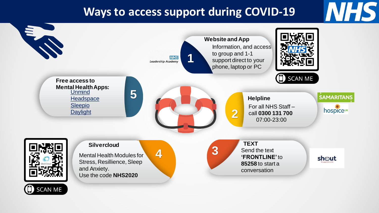## **Ways to access support during COVID-19**

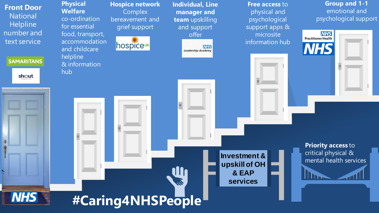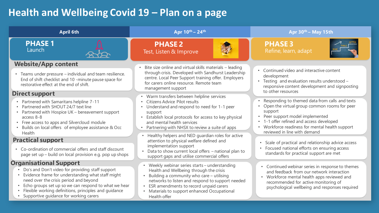### **Health and Wellbeing Covid 19 – Plan on a page**